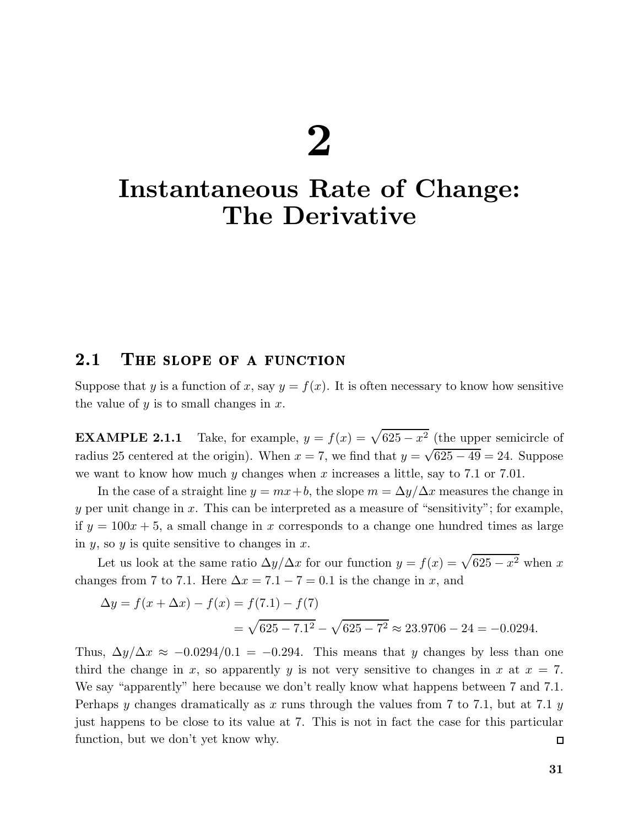# 2

## Instantaneous Rate of Change: The Derivative

### 2.1 THE SLOPE OF A FUNCTION

Suppose that y is a function of x, say  $y = f(x)$ . It is often necessary to know how sensitive the value of y is to small changes in  $x$ .

**EXAMPLE 2.1.1** Take, for example,  $y = f(x) = \sqrt{625 - x^2}$  (the upper semicircle of radius 25 centered at the origin). When  $x = 7$ , we find that  $y = \sqrt{625 - 49} = 24$ . Suppose we want to know how much y changes when x increases a little, say to  $7.1$  or  $7.01$ .

In the case of a straight line  $y = mx + b$ , the slope  $m = \Delta y / \Delta x$  measures the change in y per unit change in x. This can be interpreted as a measure of "sensitivity"; for example, if  $y = 100x + 5$ , a small change in x corresponds to a change one hundred times as large in  $y$ , so  $y$  is quite sensitive to changes in  $x$ .

Let us look at the same ratio  $\Delta y/\Delta x$  for our function  $y = f(x) = \sqrt{625 - x^2}$  when x changes from 7 to 7.1. Here  $\Delta x = 7.1 - 7 = 0.1$  is the change in x, and

$$
\Delta y = f(x + \Delta x) - f(x) = f(7.1) - f(7)
$$
  
=  $\sqrt{625 - 7.1^2} - \sqrt{625 - 7^2} \approx 23.9706 - 24 = -0.0294.$ 

Thus,  $\Delta y/\Delta x \approx -0.0294/0.1 = -0.294$ . This means that y changes by less than one third the change in x, so apparently y is not very sensitive to changes in x at  $x = 7$ . We say "apparently" here because we don't really know what happens between 7 and 7.1. Perhaps y changes dramatically as x runs through the values from 7 to 7.1, but at 7.1 y just happens to be close to its value at 7. This is not in fact the case for this particular function, but we don't yet know why.  $\Box$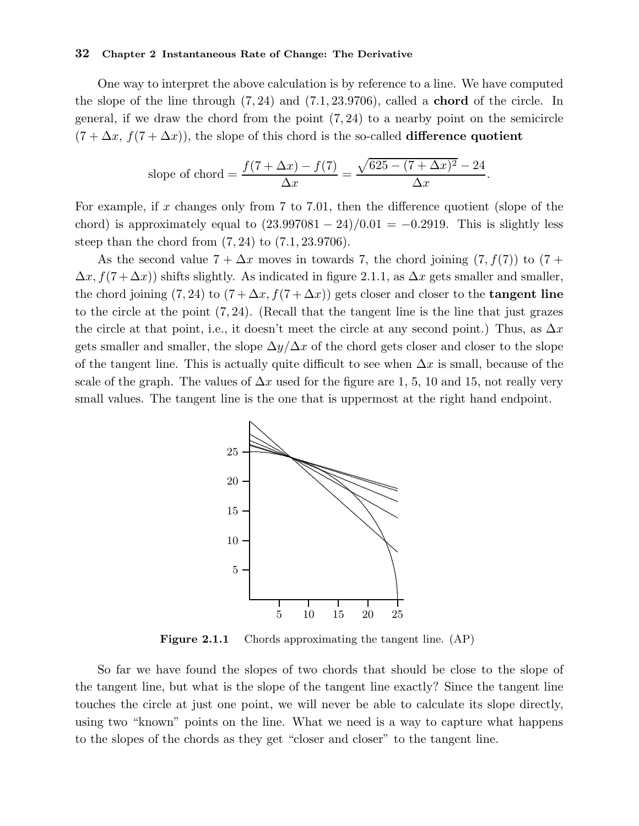One way to interpret the above calculation is by reference to a line. We have computed the slope of the line through  $(7, 24)$  and  $(7.1, 23.9706)$ , called a **chord** of the circle. In general, if we draw the chord from the point  $(7, 24)$  to a nearby point on the semicircle  $(7 + \Delta x, f(7 + \Delta x))$ , the slope of this chord is the so-called **difference quotient** 

slope of chord = 
$$
\frac{f(7 + \Delta x) - f(7)}{\Delta x} = \frac{\sqrt{625 - (7 + \Delta x)^2 - 24}}{\Delta x}.
$$

For example, if x changes only from 7 to 7.01, then the difference quotient (slope of the chord) is approximately equal to  $(23.997081 - 24)/0.01 = -0.2919$ . This is slightly less steep than the chord from  $(7, 24)$  to  $(7.1, 23.9706)$ .

As the second value  $7 + \Delta x$  moves in towards 7, the chord joining  $(7, f(7))$  to  $(7 +$  $\Delta x, f(7+\Delta x)$  shifts slightly. As indicated in figure 2.1.1, as  $\Delta x$  gets smaller and smaller, the chord joining (7, 24) to  $(7 + \Delta x, f(7 + \Delta x))$  gets closer and closer to the **tangent line** to the circle at the point  $(7, 24)$ . (Recall that the tangent line is the line that just grazes the circle at that point, i.e., it doesn't meet the circle at any second point.) Thus, as  $\Delta x$ gets smaller and smaller, the slope  $\Delta y/\Delta x$  of the chord gets closer and closer to the slope of the tangent line. This is actually quite difficult to see when  $\Delta x$  is small, because of the scale of the graph. The values of  $\Delta x$  used for the figure are 1, 5, 10 and 15, not really very small values. The tangent line is the one that is uppermost at the right hand endpoint.



Figure 2.1.1 Chords approximating the tangent line. (AP)

So far we have found the slopes of two chords that should be close to the slope of the tangent line, but what is the slope of the tangent line exactly? Since the tangent line touches the circle at just one point, we will never be able to calculate its slope directly, using two "known" points on the line. What we need is a way to capture what happens to the slopes of the chords as they get "closer and closer" to the tangent line.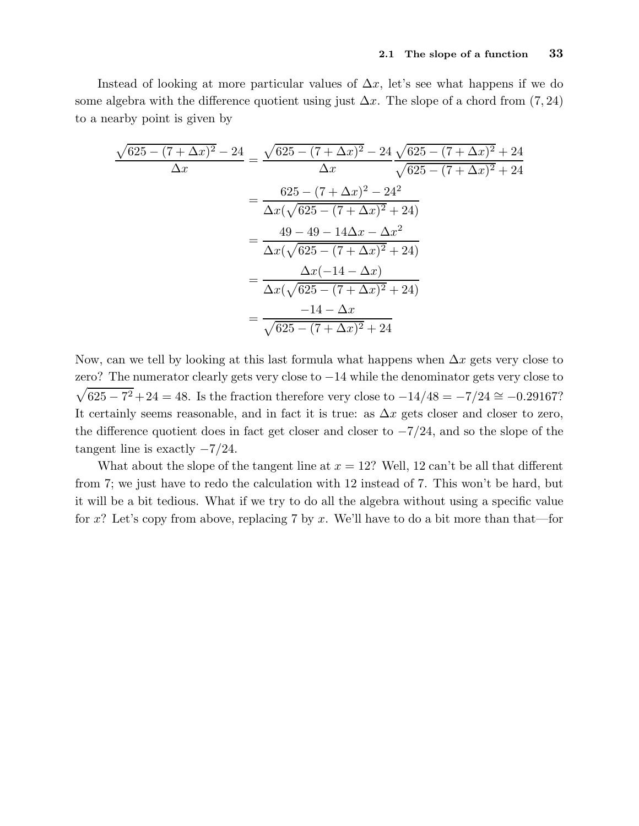Instead of looking at more particular values of  $\Delta x$ , let's see what happens if we do some algebra with the difference quotient using just  $\Delta x$ . The slope of a chord from (7, 24) to a nearby point is given by

$$
\frac{\sqrt{625 - (7 + \Delta x)^2} - 24}{\Delta x} = \frac{\sqrt{625 - (7 + \Delta x)^2} - 24}{\Delta x} \frac{\sqrt{625 - (7 + \Delta x)^2} + 24}{\sqrt{625 - (7 + \Delta x)^2} + 24}
$$

$$
= \frac{625 - (7 + \Delta x)^2 - 24^2}{\Delta x (\sqrt{625 - (7 + \Delta x)^2} + 24)}
$$

$$
= \frac{49 - 49 - 14\Delta x - \Delta x^2}{\Delta x (\sqrt{625 - (7 + \Delta x)^2} + 24)}
$$

$$
= \frac{\Delta x (-14 - \Delta x)}{\Delta x (\sqrt{625 - (7 + \Delta x)^2} + 24)}
$$

$$
= \frac{-14 - \Delta x}{\sqrt{625 - (7 + \Delta x)^2} + 24}
$$

Now, can we tell by looking at this last formula what happens when  $\Delta x$  gets very close to zero? The numerator clearly gets very close to −14 while the denominator gets very close to  $\sqrt{625 - 7^2} + 24 = 48$ . Is the fraction therefore very close to  $-14/48 = -7/24 \approx -0.29167$ ? It certainly seems reasonable, and in fact it is true: as  $\Delta x$  gets closer and closer to zero, the difference quotient does in fact get closer and closer to  $-\frac{7}{24}$ , and so the slope of the tangent line is exactly  $-7/24$ .

What about the slope of the tangent line at  $x = 12$ ? Well, 12 can't be all that different from 7; we just have to redo the calculation with 12 instead of 7. This won't be hard, but it will be a bit tedious. What if we try to do all the algebra without using a specific value for x? Let's copy from above, replacing 7 by x. We'll have to do a bit more than that—for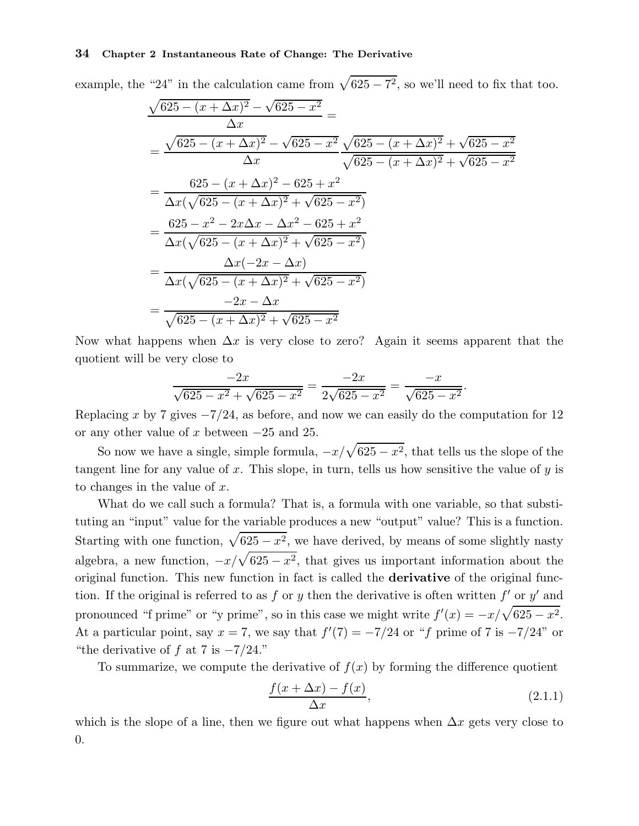example, the "24" in the calculation came from  $\sqrt{625 - 7^2}$ , so we'll need to fix that too.

$$
\frac{\sqrt{625 - (x + \Delta x)^2} - \sqrt{625 - x^2}}{\Delta x} =
$$
\n
$$
= \frac{\sqrt{625 - (x + \Delta x)^2} - \sqrt{625 - x^2}}{\Delta x} \frac{\sqrt{625 - (x + \Delta x)^2} + \sqrt{625 - x^2}}{\sqrt{625 - (x + \Delta x)^2} + \sqrt{625 - x^2}}
$$
\n
$$
= \frac{625 - (x + \Delta x)^2 - 625 + x^2}{\Delta x (\sqrt{625 - (x + \Delta x)^2} + \sqrt{625 - x^2})}
$$
\n
$$
= \frac{625 - x^2 - 2x\Delta x - \Delta x^2 - 625 + x^2}{\Delta x (\sqrt{625 - (x + \Delta x)^2} + \sqrt{625 - x^2})}
$$
\n
$$
= \frac{\Delta x (-2x - \Delta x)}{\Delta x (\sqrt{625 - (x + \Delta x)^2} + \sqrt{625 - x^2})}
$$
\n
$$
= \frac{-2x - \Delta x}{\sqrt{625 - (x + \Delta x)^2} + \sqrt{625 - x^2}}
$$

Now what happens when  $\Delta x$  is very close to zero? Again it seems apparent that the quotient will be very close to

$$
\frac{-2x}{\sqrt{625 - x^2} + \sqrt{625 - x^2}} = \frac{-2x}{2\sqrt{625 - x^2}} = \frac{-x}{\sqrt{625 - x^2}}.
$$

Replacing x by 7 gives  $-\frac{7}{24}$ , as before, and now we can easily do the computation for 12 or any other value of x between  $-25$  and 25.

So now we have a single, simple formula,  $-x/\sqrt{625 - x^2}$ , that tells us the slope of the tangent line for any value of x. This slope, in turn, tells us how sensitive the value of  $y$  is to changes in the value of  $x$ .

What do we call such a formula? That is, a formula with one variable, so that substituting an "input" value for the variable produces a new "output" value? This is a function. Starting with one function,  $\sqrt{625 - x^2}$ , we have derived, by means of some slightly nasty algebra, a new function,  $-x/\sqrt{625 - x^2}$ , that gives us important information about the original function. This new function in fact is called the derivative of the original function. If the original is referred to as f or y then the derivative is often written  $f'$  or  $y'$  and pronounced "f prime" or "y prime", so in this case we might write  $f'(x) = -x/\sqrt{625 - x^2}$ . At a particular point, say  $x = 7$ , we say that  $f'(7) = -7/24$  or "f prime of 7 is  $-7/24$ " or "the derivative of f at 7 is  $-\frac{7}{24}$ ."

To summarize, we compute the derivative of  $f(x)$  by forming the difference quotient

$$
\frac{f(x + \Delta x) - f(x)}{\Delta x},\tag{2.1.1}
$$

which is the slope of a line, then we figure out what happens when  $\Delta x$  gets very close to 0.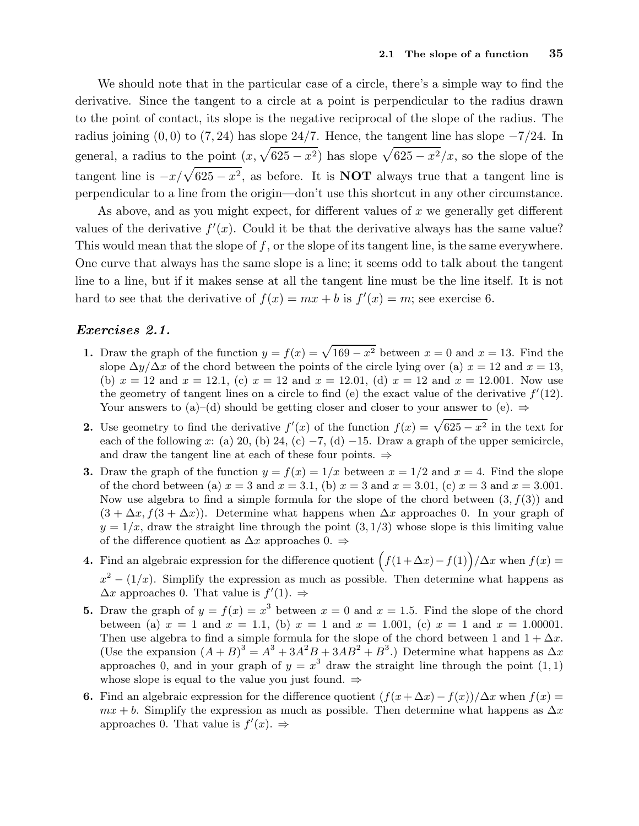We should note that in the particular case of a circle, there's a simple way to find the derivative. Since the tangent to a circle at a point is perpendicular to the radius drawn to the point of contact, its slope is the negative reciprocal of the slope of the radius. The radius joining  $(0, 0)$  to  $(7, 24)$  has slope 24/7. Hence, the tangent line has slope  $-7/24$ . In general, a radius to the point  $(x, \sqrt{625 - x^2})$  has slope  $\sqrt{625 - x^2}/x$ , so the slope of the tangent line is  $-x/\sqrt{625 - x^2}$ , as before. It is **NOT** always true that a tangent line is perpendicular to a line from the origin—don't use this shortcut in any other circumstance.

As above, and as you might expect, for different values of x we generally get different values of the derivative  $f'(x)$ . Could it be that the derivative always has the same value? This would mean that the slope of  $f$ , or the slope of its tangent line, is the same everywhere. One curve that always has the same slope is a line; it seems odd to talk about the tangent line to a line, but if it makes sense at all the tangent line must be the line itself. It is not hard to see that the derivative of  $f(x) = mx + b$  is  $f'(x) = m$ ; see exercise 6.

#### Exercises 2.1.

- 1. Draw the graph of the function  $y = f(x) = \sqrt{169 x^2}$  between  $x = 0$  and  $x = 13$ . Find the slope  $\Delta y/\Delta x$  of the chord between the points of the circle lying over (a)  $x = 12$  and  $x = 13$ , (b)  $x = 12$  and  $x = 12.1$ , (c)  $x = 12$  and  $x = 12.01$ , (d)  $x = 12$  and  $x = 12.001$ . Now use the geometry of tangent lines on a circle to find (e) the exact value of the derivative  $f'(12)$ . Your answers to (a)–(d) should be getting closer and closer to your answer to (e).  $\Rightarrow$
- 2. Use geometry to find the derivative  $f'(x)$  of the function  $f(x) = \sqrt{625 x^2}$  in the text for each of the following x: (a) 20, (b) 24, (c)  $-7$ , (d)  $-15$ . Draw a graph of the upper semicircle, and draw the tangent line at each of these four points.  $\Rightarrow$
- 3. Draw the graph of the function  $y = f(x) = 1/x$  between  $x = 1/2$  and  $x = 4$ . Find the slope of the chord between (a)  $x = 3$  and  $x = 3.1$ , (b)  $x = 3$  and  $x = 3.01$ , (c)  $x = 3$  and  $x = 3.001$ . Now use algebra to find a simple formula for the slope of the chord between  $(3, f(3))$  and  $(3 + \Delta x, f(3 + \Delta x))$ . Determine what happens when  $\Delta x$  approaches 0. In your graph of  $y = 1/x$ , draw the straight line through the point  $(3, 1/3)$  whose slope is this limiting value of the difference quotient as  $\Delta x$  approaches 0.  $\Rightarrow$
- **4.** Find an algebraic expression for the difference quotient  $(f(1 + \Delta x) f(1))/\Delta x$  when  $f(x) =$  $x^{2} - (1/x)$ . Simplify the expression as much as possible. Then determine what happens as  $\Delta x$  approaches 0. That value is  $f'(1)$ .  $\Rightarrow$
- **5.** Draw the graph of  $y = f(x) = x^3$  between  $x = 0$  and  $x = 1.5$ . Find the slope of the chord between (a)  $x = 1$  and  $x = 1.1$ , (b)  $x = 1$  and  $x = 1.001$ , (c)  $x = 1$  and  $x = 1.00001$ . Then use algebra to find a simple formula for the slope of the chord between 1 and  $1 + \Delta x$ . (Use the expansion  $(A + B)^3 = A^3 + 3A^2B + 3AB^2 + B^3$ .) Determine what happens as  $\Delta x$ approaches 0, and in your graph of  $y = x^3$  draw the straight line through the point  $(1, 1)$ whose slope is equal to the value you just found.  $\Rightarrow$
- 6. Find an algebraic expression for the difference quotient  $(f(x + \Delta x) f(x))/\Delta x$  when  $f(x) =$  $mx + b$ . Simplify the expression as much as possible. Then determine what happens as  $\Delta x$ approaches 0. That value is  $f'(x)$ .  $\Rightarrow$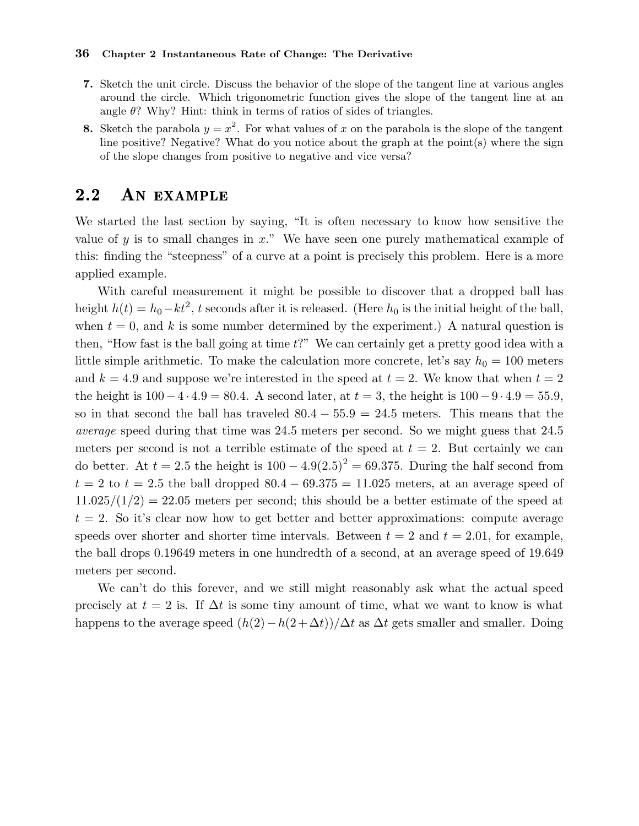- 7. Sketch the unit circle. Discuss the behavior of the slope of the tangent line at various angles around the circle. Which trigonometric function gives the slope of the tangent line at an angle  $\theta$ ? Why? Hint: think in terms of ratios of sides of triangles.
- 8. Sketch the parabola  $y = x^2$ . For what values of x on the parabola is the slope of the tangent line positive? Negative? What do you notice about the graph at the point(s) where the sign of the slope changes from positive to negative and vice versa?

## 2.2 An example

We started the last section by saying, "It is often necessary to know how sensitive the value of y is to small changes in  $x$ ." We have seen one purely mathematical example of this: finding the "steepness" of a curve at a point is precisely this problem. Here is a more applied example.

With careful measurement it might be possible to discover that a dropped ball has height  $h(t) = h_0 - kt^2$ , t seconds after it is released. (Here  $h_0$  is the initial height of the ball, when  $t = 0$ , and k is some number determined by the experiment.) A natural question is then, "How fast is the ball going at time  $t$ ?" We can certainly get a pretty good idea with a little simple arithmetic. To make the calculation more concrete, let's say  $h_0 = 100$  meters and  $k = 4.9$  and suppose we're interested in the speed at  $t = 2$ . We know that when  $t = 2$ the height is  $100-4 \cdot 4.9 = 80.4$ . A second later, at  $t = 3$ , the height is  $100-9 \cdot 4.9 = 55.9$ , so in that second the ball has traveled  $80.4 - 55.9 = 24.5$  meters. This means that the average speed during that time was 24.5 meters per second. So we might guess that 24.5 meters per second is not a terrible estimate of the speed at  $t = 2$ . But certainly we can do better. At  $t = 2.5$  the height is  $100 - 4.9(2.5)^2 = 69.375$ . During the half second from  $t = 2$  to  $t = 2.5$  the ball dropped  $80.4 - 69.375 = 11.025$  meters, at an average speed of  $11.025/(1/2) = 22.05$  meters per second; this should be a better estimate of the speed at  $t = 2$ . So it's clear now how to get better and better approximations: compute average speeds over shorter and shorter time intervals. Between  $t = 2$  and  $t = 2.01$ , for example, the ball drops 0.19649 meters in one hundredth of a second, at an average speed of 19.649 meters per second.

We can't do this forever, and we still might reasonably ask what the actual speed precisely at  $t = 2$  is. If  $\Delta t$  is some tiny amount of time, what we want to know is what happens to the average speed  $(h(2)-h(2+\Delta t))/\Delta t$  as  $\Delta t$  gets smaller and smaller. Doing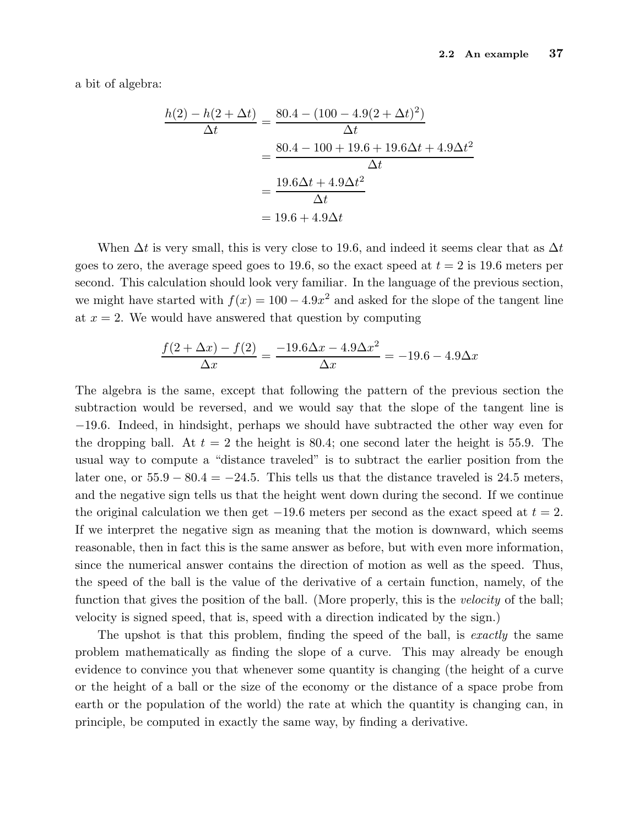a bit of algebra:

$$
\frac{h(2) - h(2 + \Delta t)}{\Delta t} = \frac{80.4 - (100 - 4.9(2 + \Delta t)^2)}{\Delta t}
$$

$$
= \frac{80.4 - 100 + 19.6 + 19.6\Delta t + 4.9\Delta t^2}{\Delta t}
$$

$$
= \frac{19.6\Delta t + 4.9\Delta t^2}{\Delta t}
$$

$$
= 19.6 + 4.9\Delta t
$$

When  $\Delta t$  is very small, this is very close to 19.6, and indeed it seems clear that as  $\Delta t$ goes to zero, the average speed goes to 19.6, so the exact speed at  $t = 2$  is 19.6 meters per second. This calculation should look very familiar. In the language of the previous section, we might have started with  $f(x) = 100 - 4.9x^2$  and asked for the slope of the tangent line at  $x = 2$ . We would have answered that question by computing

$$
\frac{f(2 + \Delta x) - f(2)}{\Delta x} = \frac{-19.6\Delta x - 4.9\Delta x^2}{\Delta x} = -19.6 - 4.9\Delta x
$$

The algebra is the same, except that following the pattern of the previous section the subtraction would be reversed, and we would say that the slope of the tangent line is −19.6. Indeed, in hindsight, perhaps we should have subtracted the other way even for the dropping ball. At  $t = 2$  the height is 80.4; one second later the height is 55.9. The usual way to compute a "distance traveled" is to subtract the earlier position from the later one, or  $55.9 - 80.4 = -24.5$ . This tells us that the distance traveled is 24.5 meters, and the negative sign tells us that the height went down during the second. If we continue the original calculation we then get  $-19.6$  meters per second as the exact speed at  $t = 2$ . If we interpret the negative sign as meaning that the motion is downward, which seems reasonable, then in fact this is the same answer as before, but with even more information, since the numerical answer contains the direction of motion as well as the speed. Thus, the speed of the ball is the value of the derivative of a certain function, namely, of the function that gives the position of the ball. (More properly, this is the *velocity* of the ball; velocity is signed speed, that is, speed with a direction indicated by the sign.)

The upshot is that this problem, finding the speed of the ball, is exactly the same problem mathematically as finding the slope of a curve. This may already be enough evidence to convince you that whenever some quantity is changing (the height of a curve or the height of a ball or the size of the economy or the distance of a space probe from earth or the population of the world) the rate at which the quantity is changing can, in principle, be computed in exactly the same way, by finding a derivative.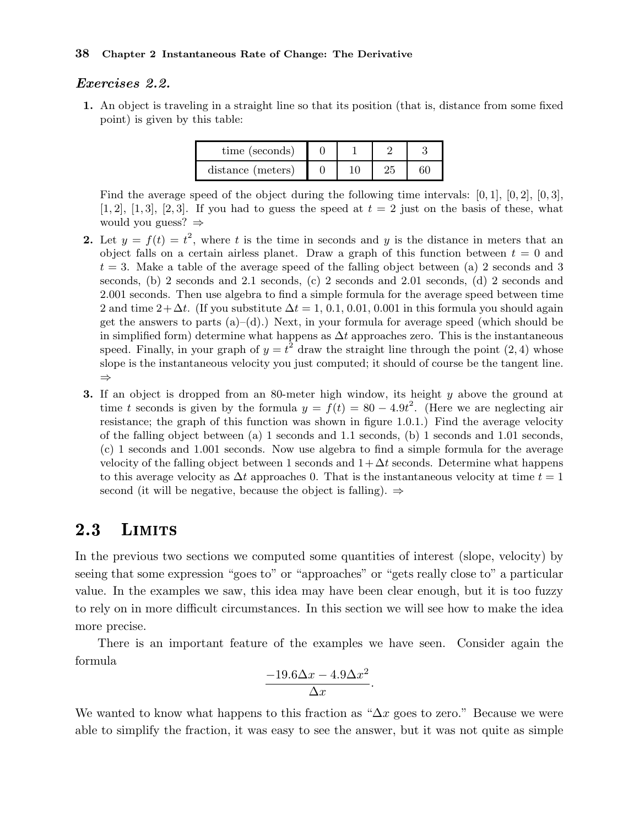#### Exercises 2.2.

1. An object is traveling in a straight line so that its position (that is, distance from some fixed point) is given by this table:

| time (seconds)    |  |  |
|-------------------|--|--|
| distance (meters) |  |  |

Find the average speed of the object during the following time intervals:  $[0, 1]$ ,  $[0, 2]$ ,  $[0, 3]$ , [1, 2], [1, 3], [2, 3]. If you had to guess the speed at  $t = 2$  just on the basis of these, what would you guess? ⇒

- 2. Let  $y = f(t) = t^2$ , where t is the time in seconds and y is the distance in meters that an object falls on a certain airless planet. Draw a graph of this function between  $t = 0$  and  $t = 3$ . Make a table of the average speed of the falling object between (a) 2 seconds and 3 seconds, (b) 2 seconds and 2.1 seconds, (c) 2 seconds and 2.01 seconds, (d) 2 seconds and 2.001 seconds. Then use algebra to find a simple formula for the average speed between time 2 and time  $2+\Delta t$ . (If you substitute  $\Delta t = 1, 0.1, 0.01, 0.001$  in this formula you should again get the answers to parts  $(a)$ – $(d)$ .) Next, in your formula for average speed (which should be in simplified form) determine what happens as  $\Delta t$  approaches zero. This is the instantaneous speed. Finally, in your graph of  $y = t^2$  draw the straight line through the point (2, 4) whose slope is the instantaneous velocity you just computed; it should of course be the tangent line. ⇒
- 3. If an object is dropped from an 80-meter high window, its height  $y$  above the ground at time t seconds is given by the formula  $y = f(t) = 80 - 4.9t^2$ . (Here we are neglecting air resistance; the graph of this function was shown in figure 1.0.1.) Find the average velocity of the falling object between (a) 1 seconds and 1.1 seconds, (b) 1 seconds and 1.01 seconds, (c) 1 seconds and 1.001 seconds. Now use algebra to find a simple formula for the average velocity of the falling object between 1 seconds and  $1+\Delta t$  seconds. Determine what happens to this average velocity as  $\Delta t$  approaches 0. That is the instantaneous velocity at time  $t = 1$ second (it will be negative, because the object is falling).  $\Rightarrow$

## 2.3 LIMITS

In the previous two sections we computed some quantities of interest (slope, velocity) by seeing that some expression "goes to" or "approaches" or "gets really close to" a particular value. In the examples we saw, this idea may have been clear enough, but it is too fuzzy to rely on in more difficult circumstances. In this section we will see how to make the idea more precise.

There is an important feature of the examples we have seen. Consider again the formula

$$
\frac{-19.6\Delta x - 4.9\Delta x^2}{\Delta x}.
$$

We wanted to know what happens to this fraction as " $\Delta x$  goes to zero." Because we were able to simplify the fraction, it was easy to see the answer, but it was not quite as simple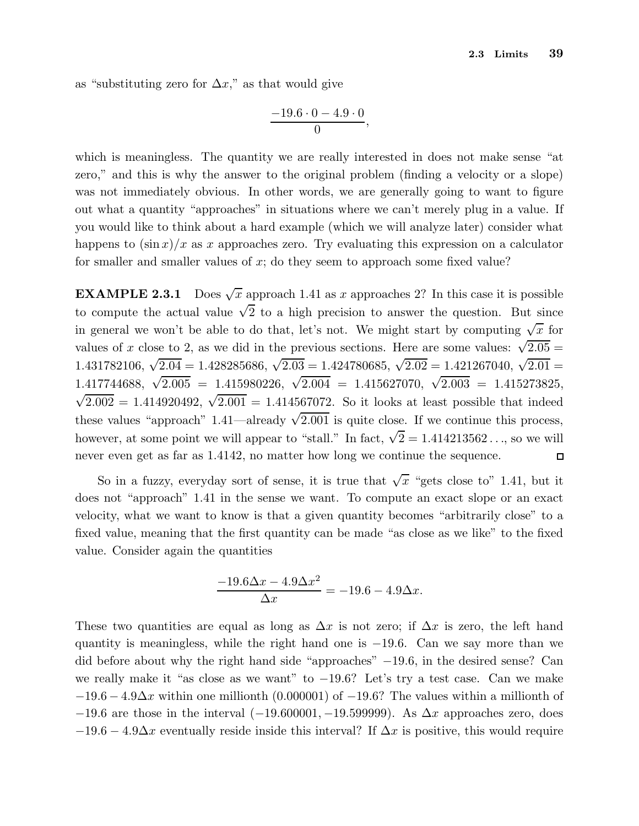as "substituting zero for  $\Delta x$ ," as that would give

$$
\frac{-19.6\cdot 0 - 4.9\cdot 0}{0},
$$

which is meaningless. The quantity we are really interested in does not make sense "at zero," and this is why the answer to the original problem (finding a velocity or a slope) was not immediately obvious. In other words, we are generally going to want to figure out what a quantity "approaches" in situations where we can't merely plug in a value. If you would like to think about a hard example (which we will analyze later) consider what happens to  $(\sin x)/x$  as x approaches zero. Try evaluating this expression on a calculator for smaller and smaller values of x; do they seem to approach some fixed value?

**EXAMPLE 2.3.1** Does  $\sqrt{x}$  approach 1.41 as x approaches 2? In this case it is possible to compute the actual value  $\sqrt{2}$  to a high precision to answer the question. But since in general we won't be able to do that, let's not. We might start by computing  $\sqrt{x}$  for values of x close to 2, as we did in the previous sections. Here are some values:  $\sqrt{2.05}$  = 1.431782106,  $\sqrt{2.04} = 1.428285686$ ,  $\sqrt{2.03} = 1.424780685$ ,  $\sqrt{2.02} = 1.421267040$ ,  $\sqrt{2.01} =$ 1.417744688,  $\sqrt{2.005}$  = 1.415980226,  $\sqrt{2.004}$  = 1.415627070,  $\sqrt{2.003}$  = 1.415273825,  $\sqrt{2.002} = 1.414920492, \sqrt{2.001} = 1.414567072.$  So it looks at least possible that indeed these values "approach" 1.41—already  $\sqrt{2.001}$  is quite close. If we continue this process, however, at some point we will appear to "stall." In fact,  $\sqrt{2} = 1.414213562...$ , so we will never even get as far as 1.4142, no matter how long we continue the sequence.  $\Box$ 

So in a fuzzy, everyday sort of sense, it is true that  $\sqrt{x}$  "gets close to" 1.41, but it does not "approach" 1.41 in the sense we want. To compute an exact slope or an exact velocity, what we want to know is that a given quantity becomes "arbitrarily close" to a fixed value, meaning that the first quantity can be made "as close as we like" to the fixed value. Consider again the quantities

$$
\frac{-19.6\Delta x - 4.9\Delta x^2}{\Delta x} = -19.6 - 4.9\Delta x.
$$

These two quantities are equal as long as  $\Delta x$  is not zero; if  $\Delta x$  is zero, the left hand quantity is meaningless, while the right hand one is −19.6. Can we say more than we did before about why the right hand side "approaches" −19.6, in the desired sense? Can we really make it "as close as we want" to −19.6? Let's try a test case. Can we make  $-19.6 - 4.9\Delta x$  within one millionth (0.000001) of -19.6? The values within a millionth of  $-19.6$  are those in the interval  $(-19.600001, -19.599999)$ . As  $\Delta x$  approaches zero, does  $-19.6 - 4.9\Delta x$  eventually reside inside this interval? If  $\Delta x$  is positive, this would require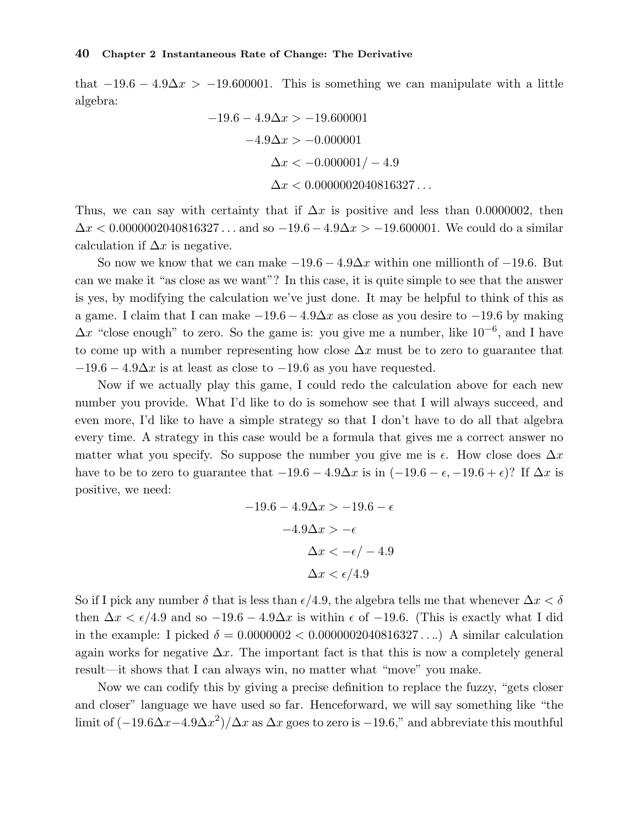that  $-19.6 - 4.9\Delta x > -19.600001$ . This is something we can manipulate with a little algebra:

$$
-19.6 - 4.9\Delta x > -19.600001
$$

$$
-4.9\Delta x > -0.000001
$$

$$
\Delta x < -0.000001 / -4.9
$$

$$
\Delta x < 0.0000002040816327...
$$

Thus, we can say with certainty that if  $\Delta x$  is positive and less than 0.0000002, then  $\Delta x < 0.0000002040816327...$  and so  $-19.6 - 4.9 \Delta x > -19.600001$ . We could do a similar calculation if  $\Delta x$  is negative.

So now we know that we can make  $-19.6 - 4.9\Delta x$  within one millionth of  $-19.6$ . But can we make it "as close as we want"? In this case, it is quite simple to see that the answer is yes, by modifying the calculation we've just done. It may be helpful to think of this as a game. I claim that I can make  $-19.6 - 4.9\Delta x$  as close as you desire to  $-19.6$  by making  $\Delta x$  "close enough" to zero. So the game is: you give me a number, like  $10^{-6}$ , and I have to come up with a number representing how close  $\Delta x$  must be to zero to guarantee that  $-19.6 - 4.9\Delta x$  is at least as close to  $-19.6$  as you have requested.

Now if we actually play this game, I could redo the calculation above for each new number you provide. What I'd like to do is somehow see that I will always succeed, and even more, I'd like to have a simple strategy so that I don't have to do all that algebra every time. A strategy in this case would be a formula that gives me a correct answer no matter what you specify. So suppose the number you give me is  $\epsilon$ . How close does  $\Delta x$ have to be to zero to guarantee that  $-19.6 - 4.9\Delta x$  is in  $(-19.6 - \epsilon, -19.6 + \epsilon)$ ? If  $\Delta x$  is positive, we need:

$$
-19.6 - 4.9\Delta x > -19.6 - \epsilon
$$

$$
-4.9\Delta x > -\epsilon
$$

$$
\Delta x < -\epsilon / -4.9
$$

$$
\Delta x < \epsilon / 4.9
$$

So if I pick any number  $\delta$  that is less than  $\epsilon/4.9$ , the algebra tells me that whenever  $\Delta x < \delta$ then  $\Delta x < \epsilon/4.9$  and so  $-19.6 - 4.9\Delta x$  is within  $\epsilon$  of  $-19.6$ . (This is exactly what I did in the example: I picked  $\delta = 0.0000002 < 0.0000002040816327...$ ) A similar calculation again works for negative  $\Delta x$ . The important fact is that this is now a completely general result—it shows that I can always win, no matter what "move" you make.

Now we can codify this by giving a precise definition to replace the fuzzy, "gets closer and closer" language we have used so far. Henceforward, we will say something like "the limit of  $(-19.6\Delta x - 4.9\Delta x^2)/\Delta x$  as  $\Delta x$  goes to zero is  $-19.6$ ," and abbreviate this mouthful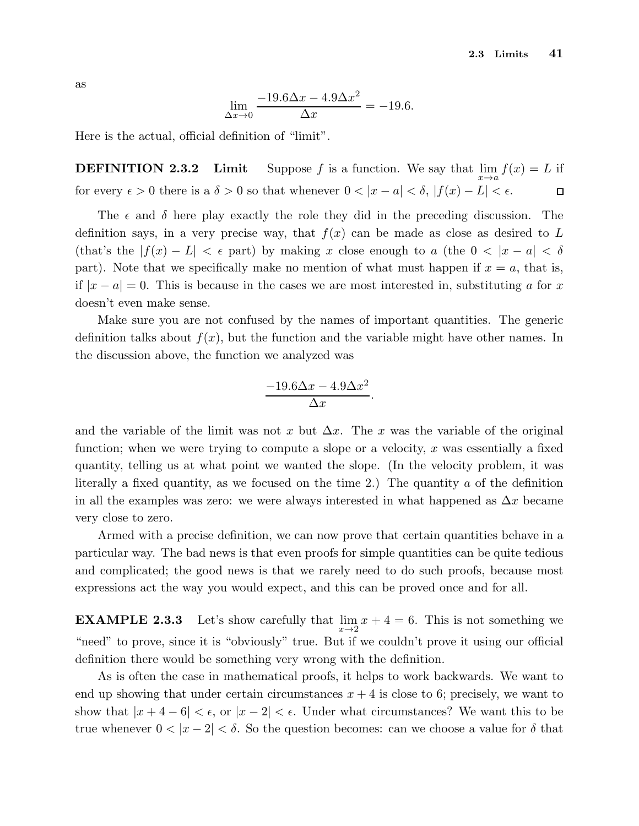as

$$
\lim_{\Delta x \to 0} \frac{-19.6\Delta x - 4.9\Delta x^2}{\Delta x} = -19.6.
$$

Here is the actual, official definition of "limit".

**DEFINITION 2.3.2** Limit Suppose f is a function. We say that  $\lim_{x \to a} f(x) = L$  if for every  $\epsilon > 0$  there is a  $\delta > 0$  so that whenever  $0 < |x - a| < \delta$ ,  $|f(x) - L| < \epsilon$ .  $\Box$ 

The  $\epsilon$  and  $\delta$  here play exactly the role they did in the preceding discussion. The definition says, in a very precise way, that  $f(x)$  can be made as close as desired to L (that's the  $|f(x) - L| < \epsilon$  part) by making x close enough to a (the  $0 < |x - a| < \delta$ ) part). Note that we specifically make no mention of what must happen if  $x = a$ , that is, if  $|x - a| = 0$ . This is because in the cases we are most interested in, substituting a for x doesn't even make sense.

Make sure you are not confused by the names of important quantities. The generic definition talks about  $f(x)$ , but the function and the variable might have other names. In the discussion above, the function we analyzed was

$$
\frac{-19.6\Delta x - 4.9\Delta x^2}{\Delta x}.
$$

and the variable of the limit was not x but  $\Delta x$ . The x was the variable of the original function; when we were trying to compute a slope or a velocity, x was essentially a fixed quantity, telling us at what point we wanted the slope. (In the velocity problem, it was literally a fixed quantity, as we focused on the time 2.) The quantity  $\alpha$  of the definition in all the examples was zero: we were always interested in what happened as  $\Delta x$  became very close to zero.

Armed with a precise definition, we can now prove that certain quantities behave in a particular way. The bad news is that even proofs for simple quantities can be quite tedious and complicated; the good news is that we rarely need to do such proofs, because most expressions act the way you would expect, and this can be proved once and for all.

**EXAMPLE 2.3.3** Let's show carefully that  $\lim_{x\to 2} x + 4 = 6$ . This is not something we "need" to prove, since it is "obviously" true. But if we couldn't prove it using our official definition there would be something very wrong with the definition.

As is often the case in mathematical proofs, it helps to work backwards. We want to end up showing that under certain circumstances  $x + 4$  is close to 6; precisely, we want to show that  $|x+4-6| < \epsilon$ , or  $|x-2| < \epsilon$ . Under what circumstances? We want this to be true whenever  $0 < |x - 2| < \delta$ . So the question becomes: can we choose a value for  $\delta$  that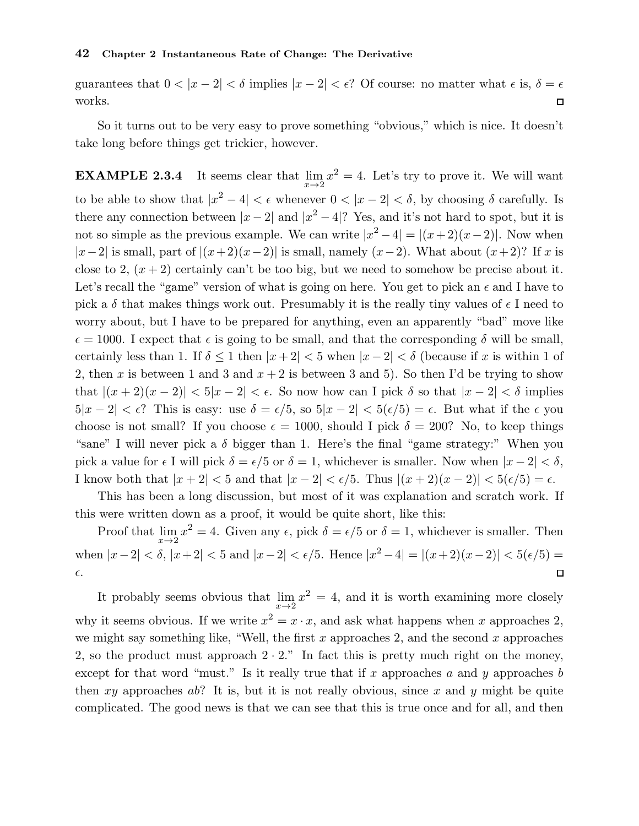guarantees that  $0 < |x - 2| < \delta$  implies  $|x - 2| < \epsilon$ ? Of course: no matter what  $\epsilon$  is,  $\delta = \epsilon$ works.  $\Box$ 

So it turns out to be very easy to prove something "obvious," which is nice. It doesn't take long before things get trickier, however.

**EXAMPLE 2.3.4** It seems clear that  $\lim_{x\to 2} x^2 = 4$ . Let's try to prove it. We will want to be able to show that  $|x^2 - 4| < \epsilon$  whenever  $0 < |x - 2| < \delta$ , by choosing  $\delta$  carefully. Is there any connection between  $|x-2|$  and  $|x^2-4|$ ? Yes, and it's not hard to spot, but it is not so simple as the previous example. We can write  $|x^2 - 4| = |(x+2)(x-2)|$ . Now when  $|x-2|$  is small, part of  $|(x+2)(x-2)|$  is small, namely  $(x-2)$ . What about  $(x+2)$ ? If x is close to 2,  $(x+2)$  certainly can't be too big, but we need to somehow be precise about it. Let's recall the "game" version of what is going on here. You get to pick an  $\epsilon$  and I have to pick a  $\delta$  that makes things work out. Presumably it is the really tiny values of  $\epsilon$  I need to worry about, but I have to be prepared for anything, even an apparently "bad" move like  $\epsilon = 1000$ . I expect that  $\epsilon$  is going to be small, and that the corresponding  $\delta$  will be small, certainly less than 1. If  $\delta \leq 1$  then  $|x+2| < 5$  when  $|x-2| < \delta$  (because if x is within 1 of 2, then x is between 1 and 3 and  $x + 2$  is between 3 and 5). So then I'd be trying to show that  $|(x+2)(x-2)| < 5|x-2| < \epsilon$ . So now how can I pick  $\delta$  so that  $|x-2| < \delta$  implies  $5|x-2| < \epsilon$ ? This is easy: use  $\delta = \epsilon/5$ , so  $5|x-2| < 5(\epsilon/5) = \epsilon$ . But what if the  $\epsilon$  you choose is not small? If you choose  $\epsilon = 1000$ , should I pick  $\delta = 200$ ? No, to keep things "sane" I will never pick a  $\delta$  bigger than 1. Here's the final "game strategy:" When you pick a value for  $\epsilon$  I will pick  $\delta = \epsilon/5$  or  $\delta = 1$ , whichever is smaller. Now when  $|x - 2| < \delta$ , I know both that  $|x+2| < 5$  and that  $|x-2| < \epsilon/5$ . Thus  $|(x+2)(x-2)| < 5(\epsilon/5) = \epsilon$ .

This has been a long discussion, but most of it was explanation and scratch work. If this were written down as a proof, it would be quite short, like this:

Proof that  $\lim_{x\to 2} x^2 = 4$ . Given any  $\epsilon$ , pick  $\delta = \epsilon/5$  or  $\delta = 1$ , whichever is smaller. Then when  $|x-2| < \delta$ ,  $|x+2| < 5$  and  $|x-2| < \epsilon/5$ . Hence  $|x^2-4| = |(x+2)(x-2)| < 5(\epsilon/5) =$  $\Box$  $\epsilon.$ 

It probably seems obvious that  $\lim_{x\to 2} x^2 = 4$ , and it is worth examining more closely why it seems obvious. If we write  $x^2 = x \cdot x$ , and ask what happens when x approaches 2, we might say something like, "Well, the first  $x$  approaches 2, and the second  $x$  approaches 2, so the product must approach  $2 \cdot 2$ ." In fact this is pretty much right on the money, except for that word "must." Is it really true that if x approaches a and y approaches b then xy approaches ab? It is, but it is not really obvious, since x and y might be quite complicated. The good news is that we can see that this is true once and for all, and then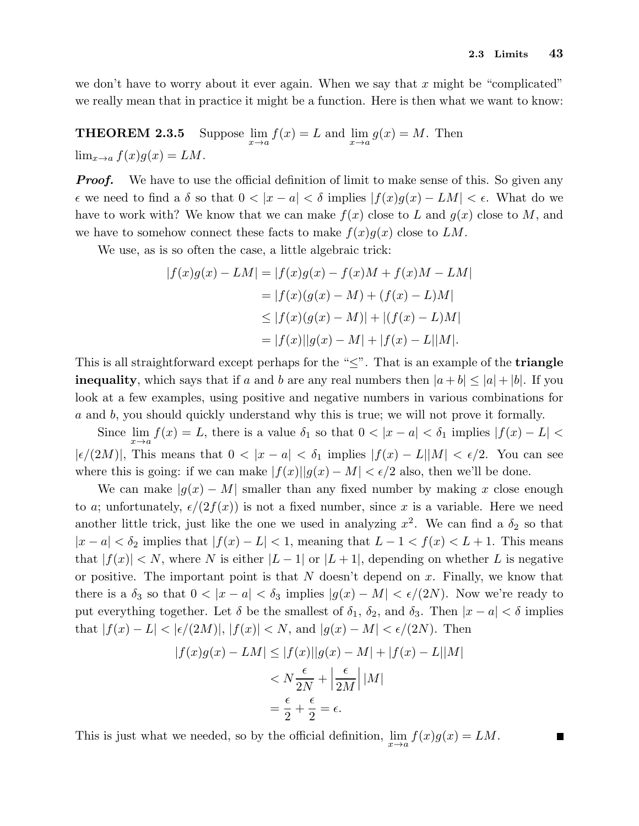we don't have to worry about it ever again. When we say that  $x$  might be "complicated" we really mean that in practice it might be a function. Here is then what we want to know:

THEOREM  $2.3.5$  $f(x) = L$  and  $\lim_{x \to a} g(x) = M$ . Then  $\lim_{x\to a} f(x)g(x) = LM.$ 

**Proof.** We have to use the official definition of limit to make sense of this. So given any  $\epsilon$  we need to find a  $\delta$  so that  $0 < |x - a| < \delta$  implies  $|f(x)g(x) - LM| < \epsilon$ . What do we have to work with? We know that we can make  $f(x)$  close to L and  $g(x)$  close to M, and we have to somehow connect these facts to make  $f(x)g(x)$  close to LM.

We use, as is so often the case, a little algebraic trick:

$$
|f(x)g(x) - LM| = |f(x)g(x) - f(x)M + f(x)M - LM|
$$
  

$$
= |f(x)(g(x) - M) + (f(x) - L)M|
$$
  

$$
\leq |f(x)(g(x) - M)| + |(f(x) - L)M|
$$
  

$$
= |f(x)||g(x) - M| + |f(x) - L||M|.
$$

This is all straightforward except perhaps for the " $\leq$ ". That is an example of the **triangle inequality**, which says that if a and b are any real numbers then  $|a + b| \leq |a| + |b|$ . If you look at a few examples, using positive and negative numbers in various combinations for a and b, you should quickly understand why this is true; we will not prove it formally.

Since  $\lim_{x\to a} f(x) = L$ , there is a value  $\delta_1$  so that  $0 < |x - a| < \delta_1$  implies  $|f(x) - L| <$  $|\epsilon/(2M)|$ , This means that  $0 < |x - a| < \delta_1$  implies  $|f(x) - L||M| < \epsilon/2$ . You can see where this is going: if we can make  $|f(x)||g(x) - M| < \epsilon/2$  also, then we'll be done.

We can make  $|q(x) - M|$  smaller than any fixed number by making x close enough to a; unfortunately,  $\epsilon/(2f(x))$  is not a fixed number, since x is a variable. Here we need another little trick, just like the one we used in analyzing  $x^2$ . We can find a  $\delta_2$  so that  $|x - a| < \delta_2$  implies that  $|f(x) - L| < 1$ , meaning that  $L - 1 < f(x) < L + 1$ . This means that  $|f(x)| < N$ , where N is either  $|L-1|$  or  $|L+1|$ , depending on whether L is negative or positive. The important point is that  $N$  doesn't depend on  $x$ . Finally, we know that there is a  $\delta_3$  so that  $0 < |x - a| < \delta_3$  implies  $|g(x) - M| < \epsilon/(2N)$ . Now we're ready to put everything together. Let  $\delta$  be the smallest of  $\delta_1$ ,  $\delta_2$ , and  $\delta_3$ . Then  $|x - a| < \delta$  implies that  $|f(x) - L| < |\epsilon/(2M)|, |f(x)| < N$ , and  $|g(x) - M| < \epsilon/(2N)$ . Then

$$
|f(x)g(x) - LM| \le |f(x)||g(x) - M| + |f(x) - L||M|
$$
  

$$
< N\frac{\epsilon}{2N} + \left|\frac{\epsilon}{2M}\right||M|
$$
  

$$
= \frac{\epsilon}{2} + \frac{\epsilon}{2} = \epsilon.
$$

This is just what we needed, so by the official definition,  $\lim_{x\to a} f(x)g(x) = LM$ .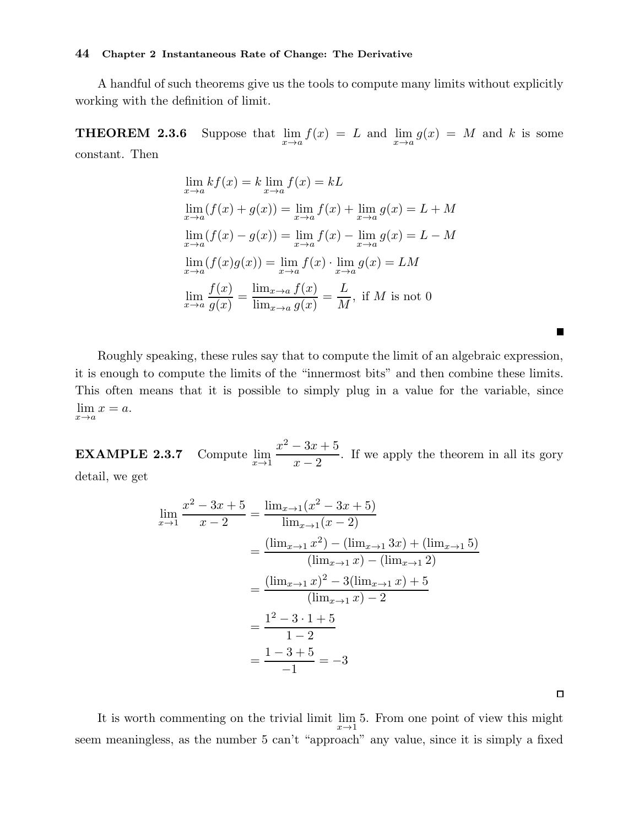A handful of such theorems give us the tools to compute many limits without explicitly working with the definition of limit.

**THEOREM 2.3.6** Suppose that  $\lim_{x \to a} f(x) = L$  and  $\lim_{x \to a} g(x) = M$  and k is some constant. Then

$$
\lim_{x \to a} kf(x) = k \lim_{x \to a} f(x) = kL
$$
\n
$$
\lim_{x \to a} (f(x) + g(x)) = \lim_{x \to a} f(x) + \lim_{x \to a} g(x) = L + M
$$
\n
$$
\lim_{x \to a} (f(x) - g(x)) = \lim_{x \to a} f(x) - \lim_{x \to a} g(x) = L - M
$$
\n
$$
\lim_{x \to a} (f(x)g(x)) = \lim_{x \to a} f(x) \cdot \lim_{x \to a} g(x) = LM
$$
\n
$$
\lim_{x \to a} \frac{f(x)}{g(x)} = \frac{\lim_{x \to a} f(x)}{\lim_{x \to a} g(x)} = \frac{L}{M}, \text{ if } M \text{ is not 0}
$$

Roughly speaking, these rules say that to compute the limit of an algebraic expression, it is enough to compute the limits of the "innermost bits" and then combine these limits. This often means that it is possible to simply plug in a value for the variable, since  $\lim_{x \to a} x = a.$ 

**EXAMPLE 2.3.7** Compute  $\lim_{x\to 1} \frac{x^2 - 3x + 5}{x - 2}$  $x - 2$ . If we apply the theorem in all its gory detail, we get

$$
\lim_{x \to 1} \frac{x^2 - 3x + 5}{x - 2} = \frac{\lim_{x \to 1} (x^2 - 3x + 5)}{\lim_{x \to 1} (x - 2)}
$$
  
= 
$$
\frac{(\lim_{x \to 1} x^2) - (\lim_{x \to 1} 3x) + (\lim_{x \to 1} 5)}{(\lim_{x \to 1} x) - (\lim_{x \to 1} 2)}
$$
  
= 
$$
\frac{(\lim_{x \to 1} x)^2 - 3(\lim_{x \to 1} x) + 5}{(\lim_{x \to 1} x) - 2}
$$
  
= 
$$
\frac{1^2 - 3 \cdot 1 + 5}{1 - 2}
$$
  
= 
$$
\frac{1 - 3 + 5}{-1} = -3
$$

 $\Box$ 

**The Second** 

It is worth commenting on the trivial limit  $\lim_{x\to 1} 5$ . From one point of view this might seem meaningless, as the number 5 can't "approach" any value, since it is simply a fixed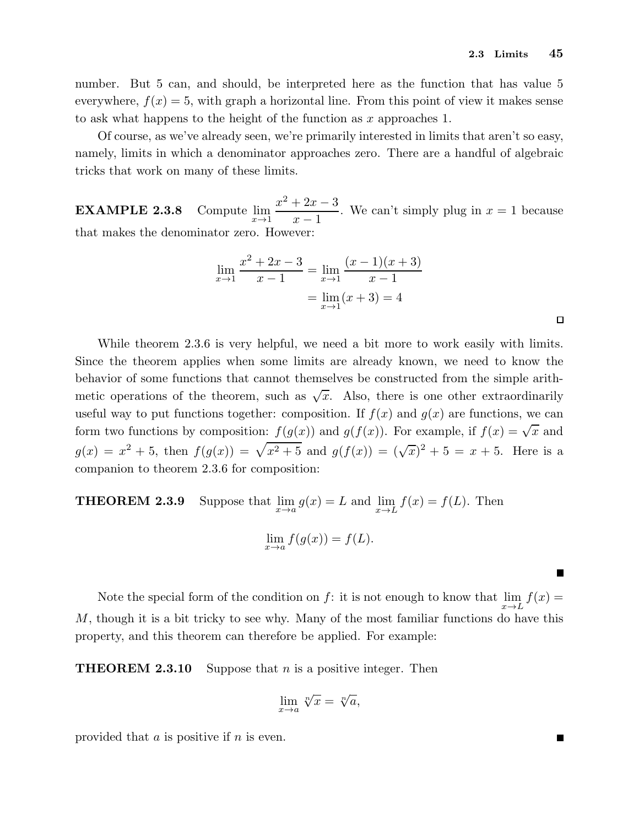number. But 5 can, and should, be interpreted here as the function that has value 5 everywhere,  $f(x) = 5$ , with graph a horizontal line. From this point of view it makes sense to ask what happens to the height of the function as  $x$  approaches 1.

Of course, as we've already seen, we're primarily interested in limits that aren't so easy, namely, limits in which a denominator approaches zero. There are a handful of algebraic tricks that work on many of these limits.

**EXAMPLE 2.3.8** Compute  $\lim_{x\to 1} \frac{x^2 + 2x - 3}{x - 1}$  $x - 1$ . We can't simply plug in  $x = 1$  because that makes the denominator zero. However:

$$
\lim_{x \to 1} \frac{x^2 + 2x - 3}{x - 1} = \lim_{x \to 1} \frac{(x - 1)(x + 3)}{x - 1}
$$

$$
= \lim_{x \to 1} (x + 3) = 4
$$

While theorem 2.3.6 is very helpful, we need a bit more to work easily with limits. Since the theorem applies when some limits are already known, we need to know the behavior of some functions that cannot themselves be constructed from the simple arithmetic operations of the theorem, such as  $\sqrt{x}$ . Also, there is one other extraordinarily useful way to put functions together: composition. If  $f(x)$  and  $g(x)$  are functions, we can form two functions by composition:  $f(g(x))$  and  $g(f(x))$ . For example, if  $f(x) = \sqrt{x}$  and  $g(x) = x^2 + 5$ , then  $f(g(x)) = \sqrt{x^2 + 5}$  and  $g(f(x)) = (\sqrt{x})^2 + 5 = x + 5$ . Here is a companion to theorem 2.3.6 for composition:

**THEOREM 2.3.9** Suppose that  $\lim_{x \to a} g(x) = L$  and  $\lim_{x \to L} f(x) = f(L)$ . Then  $\lim_{x \to a} f(g(x)) = f(L).$ 

Note the special form of the condition on  $f$ : it is not enough to know that  $\lim_{x\to L} f(x) =$ M, though it is a bit tricky to see why. Many of the most familiar functions do have this property, and this theorem can therefore be applied. For example:

**THEOREM 2.3.10** Suppose that *n* is a positive integer. Then

$$
\lim_{x \to a} \sqrt[n]{x} = \sqrt[n]{a},
$$

provided that  $a$  is positive if  $n$  is even.

П

 $\blacksquare$ 

 $\Box$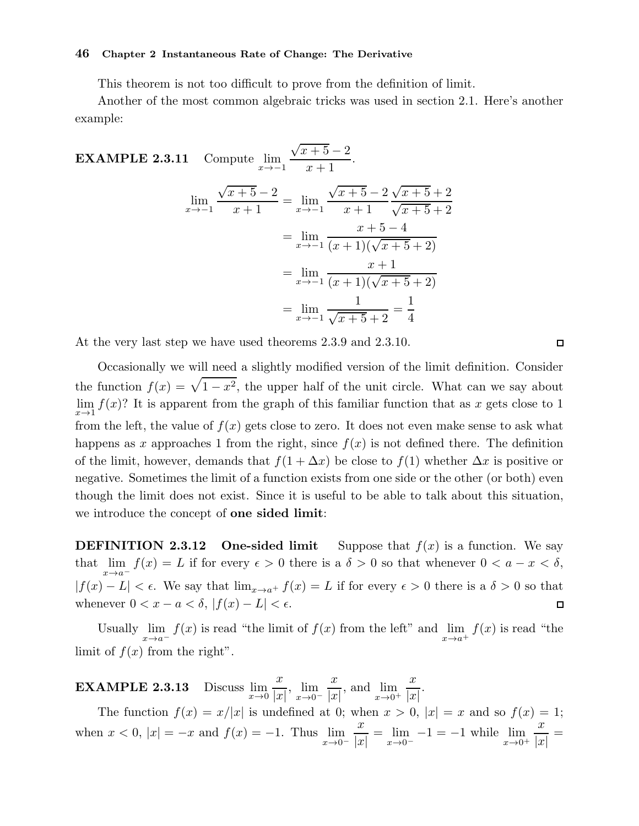This theorem is not too difficult to prove from the definition of limit.

Another of the most common algebraic tricks was used in section 2.1. Here's another example:

**EXAMPLE 2.3.11** Compute 
$$
\lim_{x \to -1} \frac{\sqrt{x+5} - 2}{x+1}
$$
.  
\n
$$
\lim_{x \to -1} \frac{\sqrt{x+5} - 2}{x+1} = \lim_{x \to -1} \frac{\sqrt{x+5} - 2}{x+1} \frac{\sqrt{x+5} + 2}{\sqrt{x+5} + 2}
$$
\n
$$
= \lim_{x \to -1} \frac{x+5 - 4}{(x+1)(\sqrt{x+5} + 2)}
$$
\n
$$
= \lim_{x \to -1} \frac{x+1}{(x+1)(\sqrt{x+5} + 2)}
$$
\n
$$
= \lim_{x \to -1} \frac{1}{\sqrt{x+5} + 2} = \frac{1}{4}
$$

At the very last step we have used theorems 2.3.9 and 2.3.10.

Occasionally we will need a slightly modified version of the limit definition. Consider the function  $f(x) = \sqrt{1-x^2}$ , the upper half of the unit circle. What can we say about  $\lim_{x\to 1} f(x)$ ? It is apparent from the graph of this familiar function that as x gets close to 1 from the left, the value of  $f(x)$  gets close to zero. It does not even make sense to ask what happens as x approaches 1 from the right, since  $f(x)$  is not defined there. The definition of the limit, however, demands that  $f(1 + \Delta x)$  be close to  $f(1)$  whether  $\Delta x$  is positive or negative. Sometimes the limit of a function exists from one side or the other (or both) even though the limit does not exist. Since it is useful to be able to talk about this situation, we introduce the concept of **one sided limit**:

**DEFINITION 2.3.12** One-sided limit Suppose that  $f(x)$  is a function. We say that  $\lim_{x\to a^{-}} f(x) = L$  if for every  $\epsilon > 0$  there is a  $\delta > 0$  so that whenever  $0 < a - x < \delta$ ,  $|f(x) - L| < \epsilon$ . We say that  $\lim_{x \to a^+} f(x) = L$  if for every  $\epsilon > 0$  there is a  $\delta > 0$  so that whenever  $0 < x - a < \delta, |f(x) - L| < \epsilon$ .  $\Box$ 

Usually  $\lim_{x \to a^{-}} f(x)$  is read "the limit of  $f(x)$  from the left" and  $\lim_{x \to a^{+}} f(x)$  is read "the limit of  $f(x)$  from the right".

**EXAMPLE 2.3.13** Discuss  $\lim_{x\to 0} \frac{x}{|x|}$  $|x|$ ,  $\lim_{x\to 0^-}$  $\boldsymbol{x}$  $|x|$ , and  $\lim_{x\to 0^+}$  $\boldsymbol{x}$  $|x|$ .

The function  $f(x) = x/|x|$  is undefined at 0; when  $x > 0$ ,  $|x| = x$  and so  $f(x) = 1$ ; when  $x < 0$ ,  $|x| = -x$  and  $f(x) = -1$ . Thus  $\lim_{x \to 0^{-}}$  $\boldsymbol{x}$  $|x|$  $=\lim_{x\to 0^{-}} -1 = -1$  while  $\lim_{x\to 0^{+}}$  $\boldsymbol{x}$  $|x|$ =

 $\Box$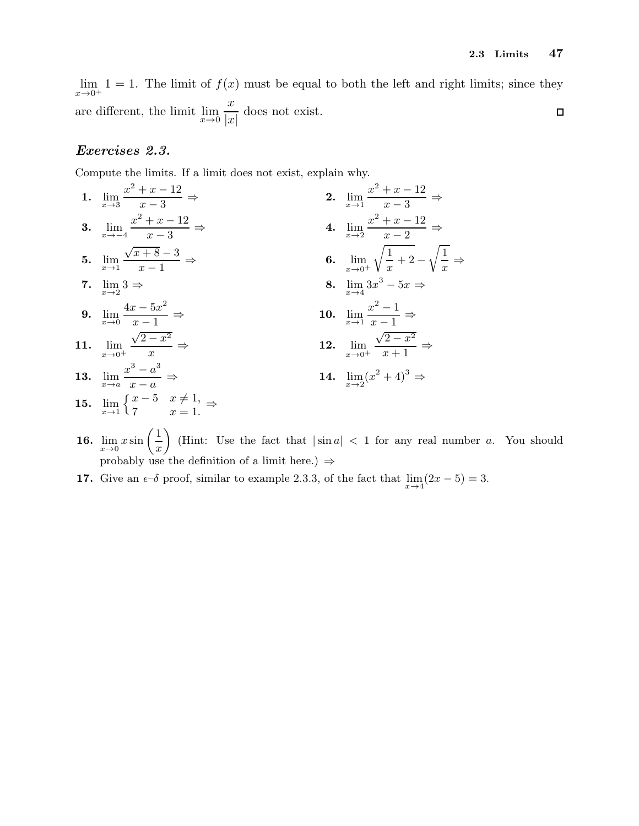$\lim_{x\to 0^+} 1 = 1$ . The limit of  $f(x)$  must be equal to both the left and right limits; since they  $\boldsymbol{x}$ are different, the limit  $\lim_{x\to 0}$ does not exist.  $\Box$  $|x|$ 

#### Exercises 2.3.

Compute the limits. If a limit does not exist, explain why.

7  $x = 1.$ 

- 1.  $\lim_{x\to 3} \frac{x^2 + x 12}{x 3}$  $x-3$ ⇒ 2.  $\lim_{x\to 1} \frac{x^2 + x - 12}{x - 3}$  $x-3$   $\Rightarrow$ 3.  $\lim_{x \to -4} \frac{x^2 + x - 12}{x - 3}$  $x - 3$ ⇒ 4.  $\lim_{x\to 2} \frac{x^2+x-12}{x-2}$  $x-2$   $\Rightarrow$ 5.  $\lim_{x\to 1}$  $\sqrt{x+8}-3$  $x - 1$  $\Rightarrow$  6.  $\lim_{x\to 0^+}$  $\sqrt{1}$  $\frac{1}{x} + 2 \sqrt{1}$  $\frac{1}{x} \Rightarrow$ 7.  $\lim_{x\to 2} 3 \Rightarrow$  $3 \Rightarrow$  8.  $\lim_{x \to 4} 3x^3 - 5x \Rightarrow$ **9.**  $\lim_{x\to 0} \frac{4x-5x^2}{x-1}$  $x - 1$ ⇒ 10.  $\lim_{x \to 1} \frac{x^2 - 1}{x - 1}$  $\overline{x-1}$   $\Rightarrow$ 11.  $\lim_{x \to 0^+}$  $\sqrt{2-x^2}$  $\boldsymbol{x}$  $\Rightarrow$  12.  $\lim_{x\to 0^+}$  $\sqrt{2-x^2}$  $\overline{x+1}$   $\Rightarrow$ 13.  $\lim_{x \to a} \frac{x^3 - a^3}{x - a}$  $x - a$ ⇒ 14.  $\lim_{x\to 2} (x^2 + 4)^3$  ⇒ 15.  $\lim_{x \to 1} \begin{cases} x - 5 & x \neq 1, \\ 7 & x = 1. \end{cases}$
- 16.  $\lim_{x\to 0} x \sin\left(\frac{1}{x}\right)$  $\boldsymbol{x}$ (Hint: Use the fact that  $|\sin a| < 1$  for any real number a. You should probably use the definition of a limit here.)  $\Rightarrow$
- **17.** Give an  $\epsilon$ -δ proof, similar to example 2.3.3, of the fact that  $\lim_{x\to 4} (2x-5) = 3$ .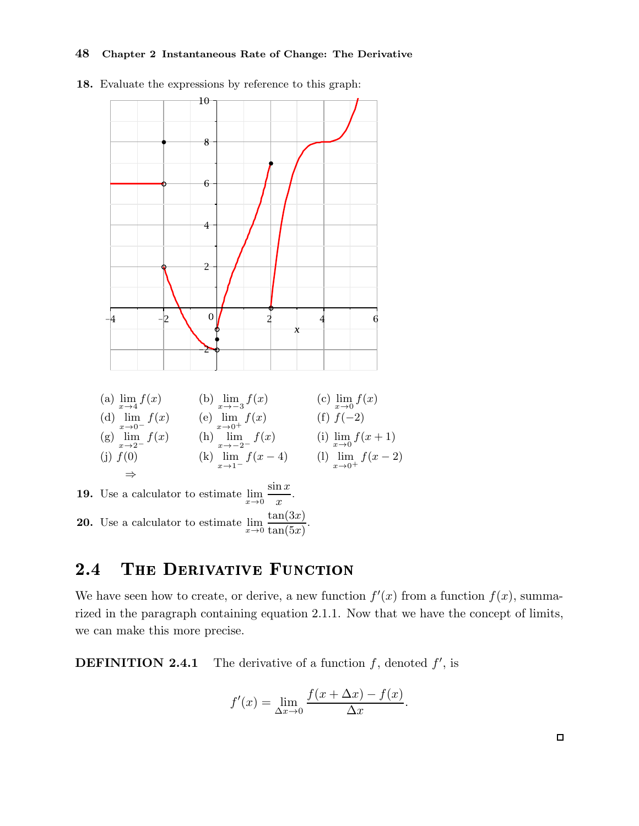

18. Evaluate the expressions by reference to this graph:

## 2.4 THE DERIVATIVE FUNCTION

We have seen how to create, or derive, a new function  $f'(x)$  from a function  $f(x)$ , summarized in the paragraph containing equation 2.1.1. Now that we have the concept of limits, we can make this more precise.

**DEFINITION 2.4.1** The derivative of a function  $f$ , denoted  $f'$ , is

$$
f'(x) = \lim_{\Delta x \to 0} \frac{f(x + \Delta x) - f(x)}{\Delta x}.
$$

 $\Box$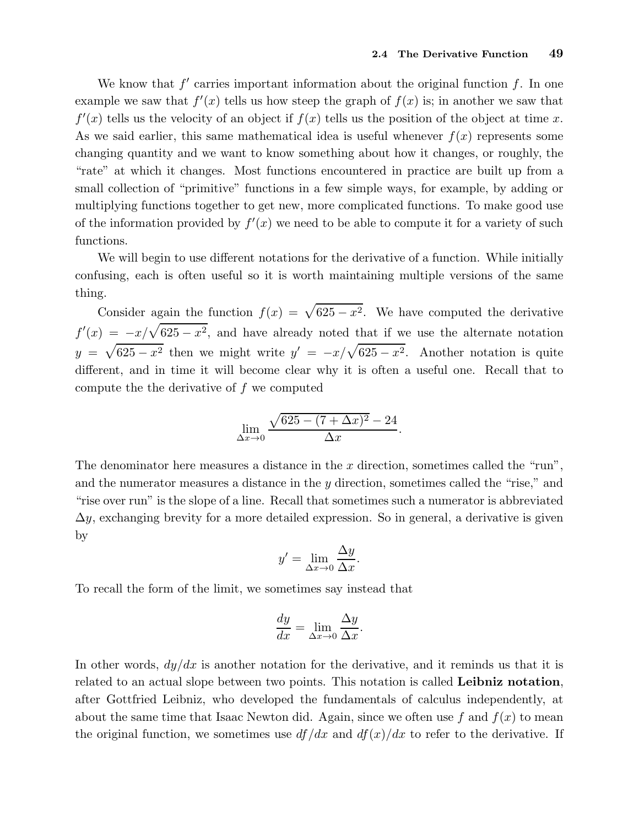We know that  $f'$  carries important information about the original function  $f$ . In one example we saw that  $f'(x)$  tells us how steep the graph of  $f(x)$  is; in another we saw that  $f'(x)$  tells us the velocity of an object if  $f(x)$  tells us the position of the object at time x. As we said earlier, this same mathematical idea is useful whenever  $f(x)$  represents some changing quantity and we want to know something about how it changes, or roughly, the "rate" at which it changes. Most functions encountered in practice are built up from a small collection of "primitive" functions in a few simple ways, for example, by adding or multiplying functions together to get new, more complicated functions. To make good use of the information provided by  $f'(x)$  we need to be able to compute it for a variety of such functions.

We will begin to use different notations for the derivative of a function. While initially confusing, each is often useful so it is worth maintaining multiple versions of the same thing.

Consider again the function  $f(x) = \sqrt{625 - x^2}$ . We have computed the derivative  $f'(x) = -x/\sqrt{625 - x^2}$ , and have already noted that if we use the alternate notation  $y = \sqrt{625 - x^2}$  then we might write  $y' = -x/\sqrt{625 - x^2}$ . Another notation is quite different, and in time it will become clear why it is often a useful one. Recall that to compute the the derivative of f we computed

$$
\lim_{\Delta x \to 0} \frac{\sqrt{625 - (7 + \Delta x)^2} - 24}{\Delta x}
$$

.

The denominator here measures a distance in the  $x$  direction, sometimes called the "run", and the numerator measures a distance in the y direction, sometimes called the "rise," and "rise over run" is the slope of a line. Recall that sometimes such a numerator is abbreviated  $\Delta y$ , exchanging brevity for a more detailed expression. So in general, a derivative is given by

$$
y' = \lim_{\Delta x \to 0} \frac{\Delta y}{\Delta x}.
$$

To recall the form of the limit, we sometimes say instead that

$$
\frac{dy}{dx} = \lim_{\Delta x \to 0} \frac{\Delta y}{\Delta x}.
$$

In other words,  $dy/dx$  is another notation for the derivative, and it reminds us that it is related to an actual slope between two points. This notation is called Leibniz notation, after Gottfried Leibniz, who developed the fundamentals of calculus independently, at about the same time that Isaac Newton did. Again, since we often use f and  $f(x)$  to mean the original function, we sometimes use  $df/dx$  and  $df(x)/dx$  to refer to the derivative. If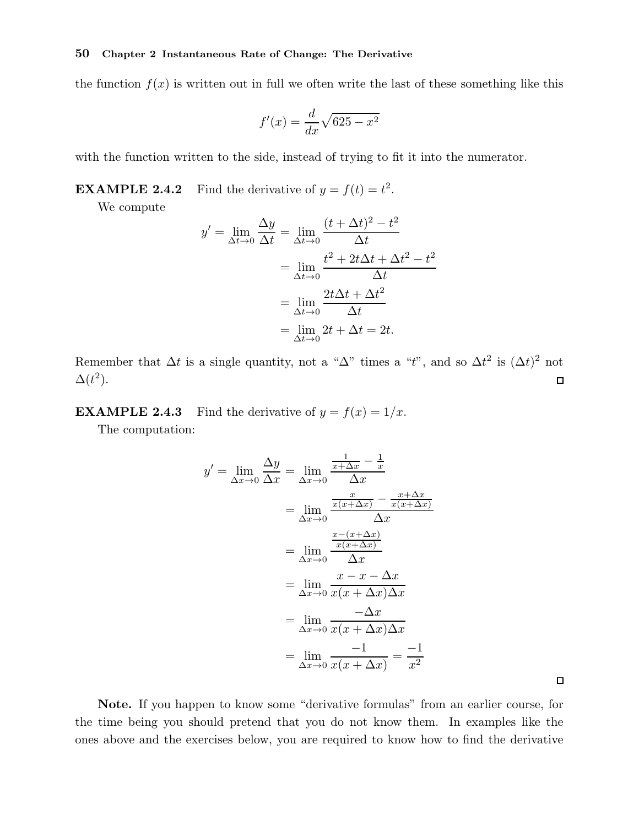the function  $f(x)$  is written out in full we often write the last of these something like this

$$
f'(x) = \frac{d}{dx}\sqrt{625 - x^2}
$$

with the function written to the side, instead of trying to fit it into the numerator.

**EXAMPLE 2.4.2** Find the derivative of  $y = f(t) = t^2$ .

We compute

$$
y' = \lim_{\Delta t \to 0} \frac{\Delta y}{\Delta t} = \lim_{\Delta t \to 0} \frac{(t + \Delta t)^2 - t^2}{\Delta t}
$$
  
= 
$$
\lim_{\Delta t \to 0} \frac{t^2 + 2t\Delta t + \Delta t^2 - t^2}{\Delta t}
$$
  
= 
$$
\lim_{\Delta t \to 0} \frac{2t\Delta t + \Delta t^2}{\Delta t}
$$
  
= 
$$
\lim_{\Delta t \to 0} 2t + \Delta t = 2t.
$$

Remember that  $\Delta t$  is a single quantity, not a " $\Delta$ " times a "t", and so  $\Delta t^2$  is  $(\Delta t)^2$  not  $\Delta(t^2)$ .  $\Box$ 

**EXAMPLE 2.4.3** Find the derivative of  $y = f(x) = 1/x$ .

The computation:

$$
y' = \lim_{\Delta x \to 0} \frac{\Delta y}{\Delta x} = \lim_{\Delta x \to 0} \frac{\frac{1}{x + \Delta x} - \frac{1}{x}}{\Delta x}
$$
  
= 
$$
\lim_{\Delta x \to 0} \frac{\frac{x}{x(x + \Delta x)} - \frac{x + \Delta x}{x(x + \Delta x)}}{\Delta x}
$$
  
= 
$$
\lim_{\Delta x \to 0} \frac{\frac{x - (x + \Delta x)}{\Delta x}}{\Delta x}
$$
  
= 
$$
\lim_{\Delta x \to 0} \frac{x - x - \Delta x}{x(x + \Delta x) \Delta x}
$$
  
= 
$$
\lim_{\Delta x \to 0} \frac{-\Delta x}{x(x + \Delta x) \Delta x}
$$
  
= 
$$
\lim_{\Delta x \to 0} \frac{-1}{x(x + \Delta x)} = \frac{-1}{x^2}
$$

Note. If you happen to know some "derivative formulas" from an earlier course, for the time being you should pretend that you do not know them. In examples like the ones above and the exercises below, you are required to know how to find the derivative

 $\Box$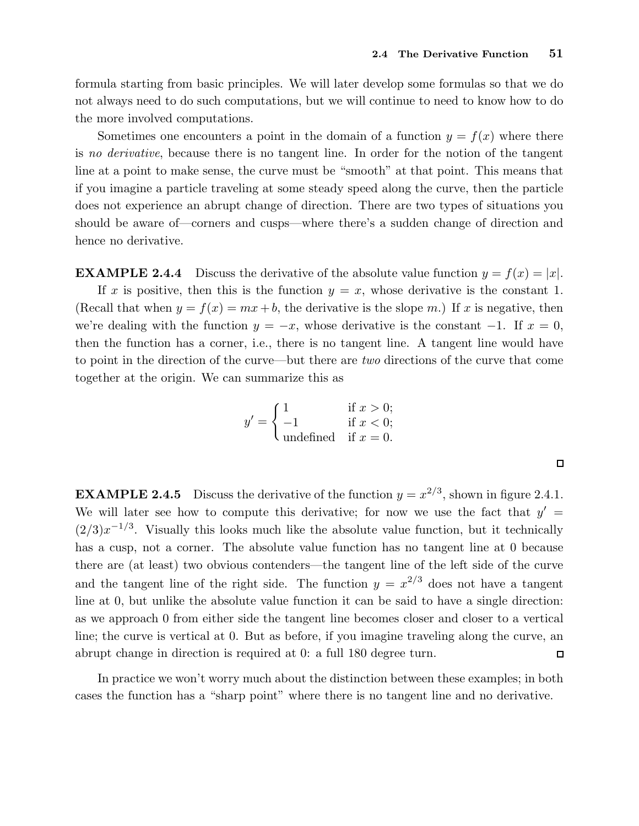formula starting from basic principles. We will later develop some formulas so that we do not always need to do such computations, but we will continue to need to know how to do the more involved computations.

Sometimes one encounters a point in the domain of a function  $y = f(x)$  where there is no derivative, because there is no tangent line. In order for the notion of the tangent line at a point to make sense, the curve must be "smooth" at that point. This means that if you imagine a particle traveling at some steady speed along the curve, then the particle does not experience an abrupt change of direction. There are two types of situations you should be aware of—corners and cusps—where there's a sudden change of direction and hence no derivative.

**EXAMPLE 2.4.4** Discuss the derivative of the absolute value function  $y = f(x) = |x|$ .

If x is positive, then this is the function  $y = x$ , whose derivative is the constant 1. (Recall that when  $y = f(x) = mx + b$ , the derivative is the slope m.) If x is negative, then we're dealing with the function  $y = -x$ , whose derivative is the constant  $-1$ . If  $x = 0$ , then the function has a corner, i.e., there is no tangent line. A tangent line would have to point in the direction of the curve—but there are two directions of the curve that come together at the origin. We can summarize this as

$$
y' = \begin{cases} 1 & \text{if } x > 0; \\ -1 & \text{if } x < 0; \\ \text{undefined} & \text{if } x = 0. \end{cases}
$$

**EXAMPLE 2.4.5** Discuss the derivative of the function  $y = x^{2/3}$ , shown in figure 2.4.1. We will later see how to compute this derivative; for now we use the fact that  $y' =$  $(2/3)x^{-1/3}$ . Visually this looks much like the absolute value function, but it technically has a cusp, not a corner. The absolute value function has no tangent line at 0 because there are (at least) two obvious contenders—the tangent line of the left side of the curve and the tangent line of the right side. The function  $y = x^{2/3}$  does not have a tangent line at 0, but unlike the absolute value function it can be said to have a single direction: as we approach 0 from either side the tangent line becomes closer and closer to a vertical line; the curve is vertical at 0. But as before, if you imagine traveling along the curve, an abrupt change in direction is required at 0: a full 180 degree turn.  $\Box$ 

In practice we won't worry much about the distinction between these examples; in both cases the function has a "sharp point" where there is no tangent line and no derivative.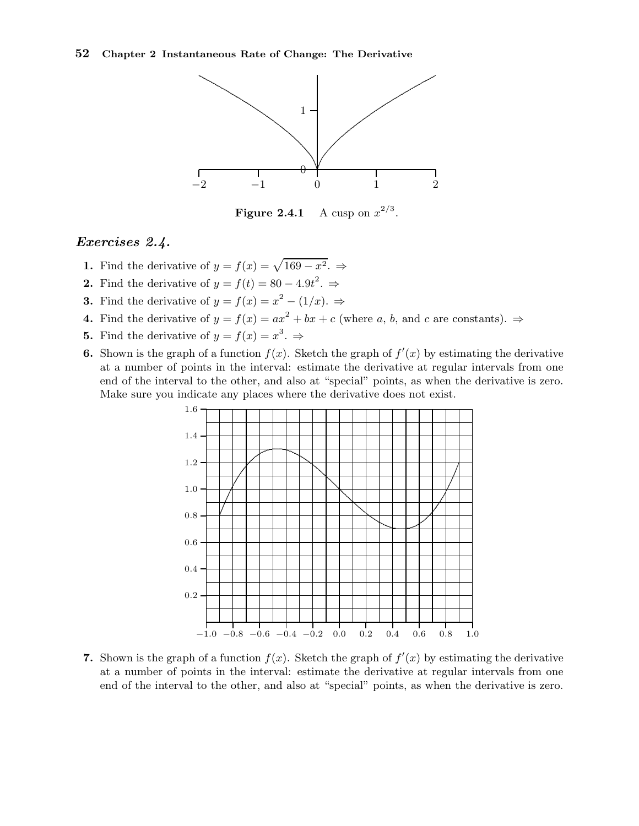

Figure 2.4.1 A cusp on  $x^{2/3}$ .

#### Exercises 2.4.

- 1. Find the derivative of  $y = f(x) = \sqrt{169 x^2}$ .  $\Rightarrow$
- **2.** Find the derivative of  $y = f(t) = 80 4.9t^2$ .  $\Rightarrow$
- **3.** Find the derivative of  $y = f(x) = x^2 (1/x)$ .  $\Rightarrow$
- 4. Find the derivative of  $y = f(x) = ax^2 + bx + c$  (where a, b, and c are constants).  $\Rightarrow$
- **5.** Find the derivative of  $y = f(x) = x^3$ .
- **6.** Shown is the graph of a function  $f(x)$ . Sketch the graph of  $f'(x)$  by estimating the derivative at a number of points in the interval: estimate the derivative at regular intervals from one end of the interval to the other, and also at "special" points, as when the derivative is zero. Make sure you indicate any places where the derivative does not exist.



7. Shown is the graph of a function  $f(x)$ . Sketch the graph of  $f'(x)$  by estimating the derivative at a number of points in the interval: estimate the derivative at regular intervals from one end of the interval to the other, and also at "special" points, as when the derivative is zero.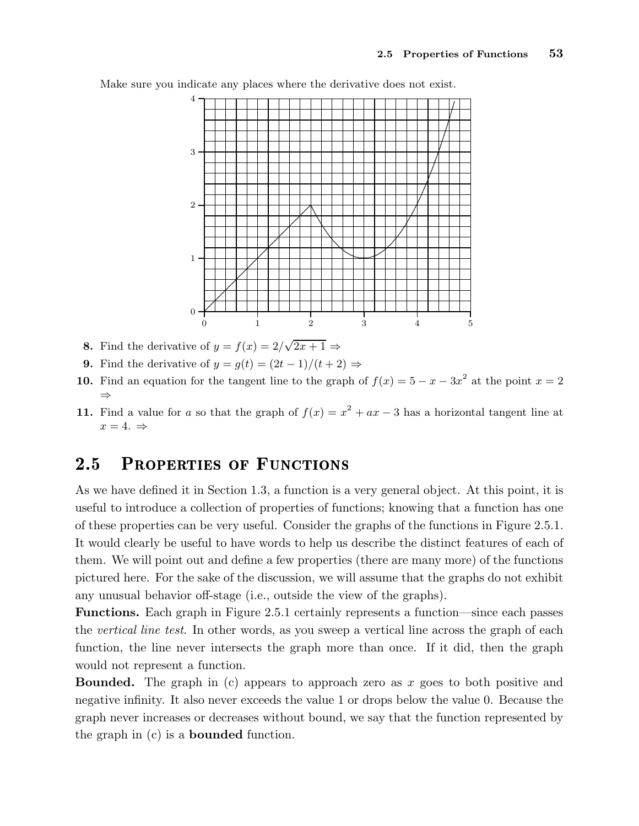

Make sure you indicate any places where the derivative does not exist.

- **8.** Find the derivative of  $y = f(x) = 2/\sqrt{2x+1} \Rightarrow$
- 9. Find the derivative of  $y = g(t) = (2t-1)/(t+2) \Rightarrow$
- **10.** Find an equation for the tangent line to the graph of  $f(x) = 5 x 3x^2$  at the point  $x = 2$ ⇒
- 11. Find a value for a so that the graph of  $f(x) = x^2 + ax 3$  has a horizontal tangent line at  $x=4. \Rightarrow$

## 2.5 PROPERTIES OF FUNCTIONS

As we have defined it in Section 1.3, a function is a very general object. At this point, it is useful to introduce a collection of properties of functions; knowing that a function has one of these properties can be very useful. Consider the graphs of the functions in Figure 2.5.1. It would clearly be useful to have words to help us describe the distinct features of each of them. We will point out and define a few properties (there are many more) of the functions pictured here. For the sake of the discussion, we will assume that the graphs do not exhibit any unusual behavior off-stage (i.e., outside the view of the graphs).

Functions. Each graph in Figure 2.5.1 certainly represents a function—since each passes the vertical line test. In other words, as you sweep a vertical line across the graph of each function, the line never intersects the graph more than once. If it did, then the graph would not represent a function.

**Bounded.** The graph in (c) appears to approach zero as x goes to both positive and negative infinity. It also never exceeds the value 1 or drops below the value 0. Because the graph never increases or decreases without bound, we say that the function represented by the graph in (c) is a bounded function.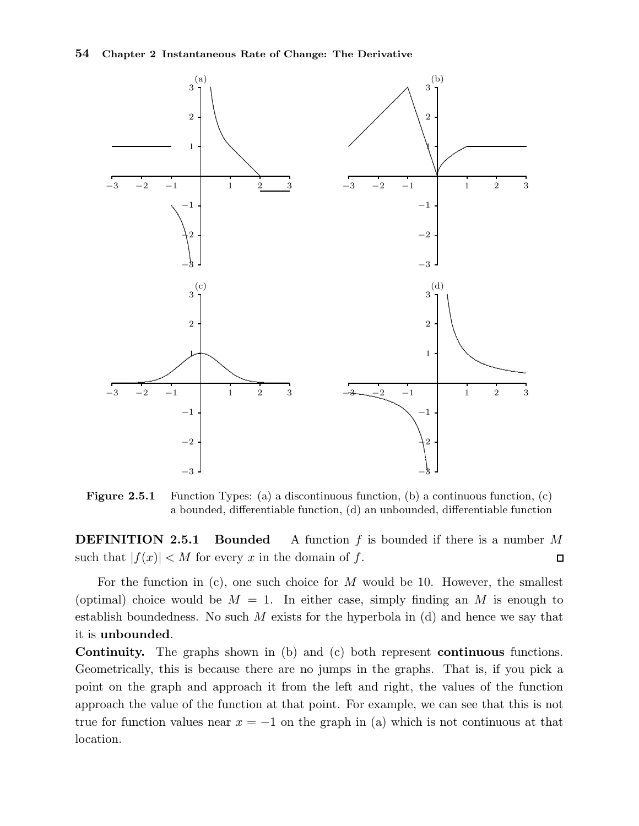

Figure 2.5.1 Function Types: (a) a discontinuous function, (b) a continuous function, (c) a bounded, differentiable function, (d) an unbounded, differentiable function

**DEFINITION 2.5.1 Bounded** A function  $f$  is bounded if there is a number  $M$ such that  $|f(x)| < M$  for every x in the domain of f.  $\Box$ 

For the function in  $(c)$ , one such choice for M would be 10. However, the smallest (optimal) choice would be  $M = 1$ . In either case, simply finding an M is enough to establish boundedness. No such  $M$  exists for the hyperbola in (d) and hence we say that it is unbounded.

Continuity. The graphs shown in (b) and (c) both represent continuous functions. Geometrically, this is because there are no jumps in the graphs. That is, if you pick a point on the graph and approach it from the left and right, the values of the function approach the value of the function at that point. For example, we can see that this is not true for function values near  $x = -1$  on the graph in (a) which is not continuous at that location.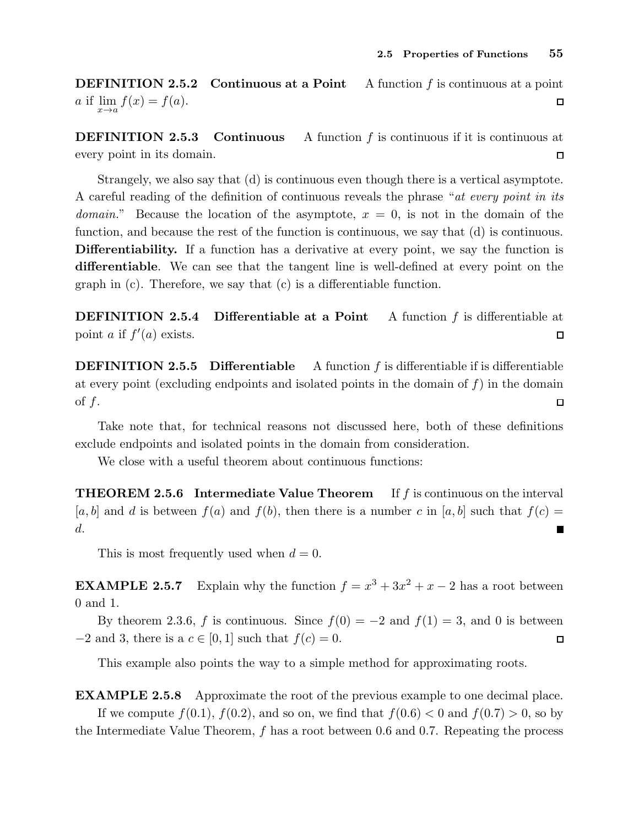**DEFINITION 2.5.2 Continuous at a Point** A function  $f$  is continuous at a point a if  $\lim_{x \to a} f(x) = f(a)$ .  $\Box$ 

**DEFINITION 2.5.3** Continuous A function  $f$  is continuous if it is continuous at every point in its domain.  $\Box$ 

Strangely, we also say that (d) is continuous even though there is a vertical asymptote. A careful reading of the definition of continuous reveals the phrase "at every point in its domain." Because the location of the asymptote,  $x = 0$ , is not in the domain of the function, and because the rest of the function is continuous, we say that (d) is continuous. Differentiability. If a function has a derivative at every point, we say the function is differentiable. We can see that the tangent line is well-defined at every point on the graph in (c). Therefore, we say that (c) is a differentiable function.

DEFINITION 2.5.4 Differentiable at a Point A function f is differentiable at point *a* if  $f'(a)$  exists.  $\Box$ 

**DEFINITION 2.5.5** Differentiable A function  $f$  is differentiable if is differentiable at every point (excluding endpoints and isolated points in the domain of  $f$ ) in the domain of  $f$ .  $\Box$ 

Take note that, for technical reasons not discussed here, both of these definitions exclude endpoints and isolated points in the domain from consideration.

We close with a useful theorem about continuous functions:

**THEOREM 2.5.6** Intermediate Value Theorem If f is continuous on the interval  $[a, b]$  and d is between  $f(a)$  and  $f(b)$ , then there is a number c in  $[a, b]$  such that  $f(c)$ d. П

This is most frequently used when  $d = 0$ .

**EXAMPLE 2.5.7** Explain why the function  $f = x^3 + 3x^2 + x - 2$  has a root between 0 and 1.

By theorem 2.3.6, f is continuous. Since  $f(0) = -2$  and  $f(1) = 3$ , and 0 is between  $-2$  and 3, there is a  $c \in [0, 1]$  such that  $f(c) = 0$ .  $\Box$ 

This example also points the way to a simple method for approximating roots.

EXAMPLE 2.5.8 Approximate the root of the previous example to one decimal place. If we compute  $f(0.1)$ ,  $f(0.2)$ , and so on, we find that  $f(0.6) < 0$  and  $f(0.7) > 0$ , so by the Intermediate Value Theorem, f has a root between 0.6 and 0.7. Repeating the process